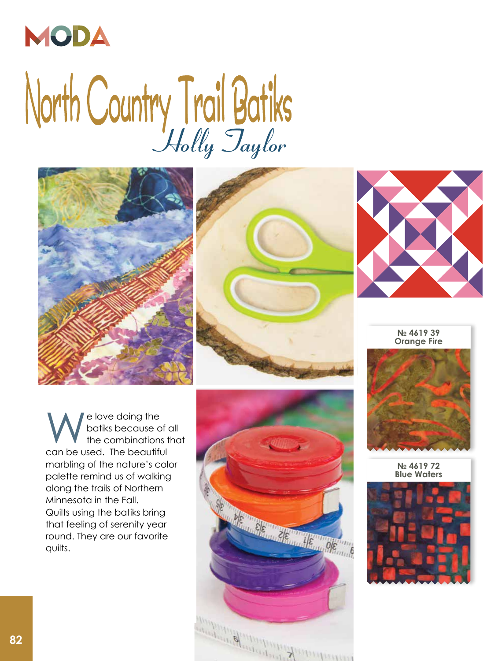

## North Country Trail Batiks







**№ 4619 39 Orange Fire**

We love doing the<br>batiks because of<br>the combinations<br>can be used. The beautiful batiks because of all the combinations that can be used. The beautiful marbling of the nature's color palette remind us of walking along the trails of Northern Minnesota in the Fall. Quilts using the batiks bring that feeling of serenity year round. They are our favorite quilts.





**№ 4619 72 Blue Waters**

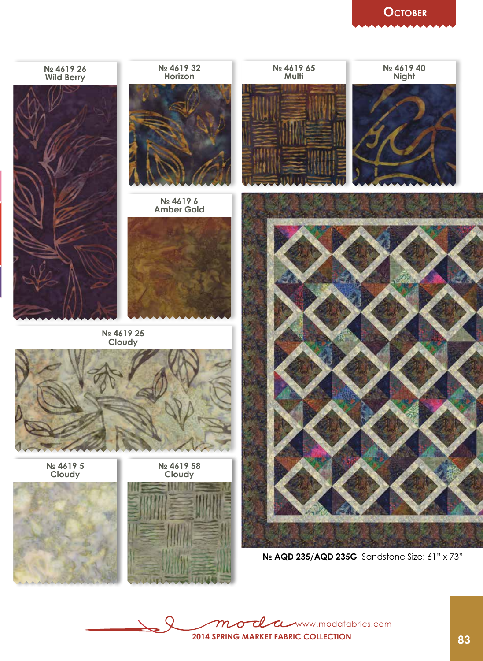## **October**



www.modafabrics.com  $\boldsymbol{\alpha}$ **2014 Spring market Fabric collection**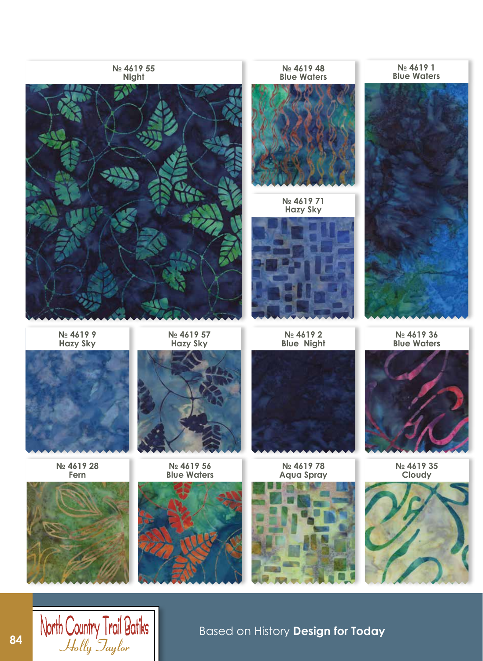

**84** North Country Trail Batiks<br>*Based on History Design for Today*